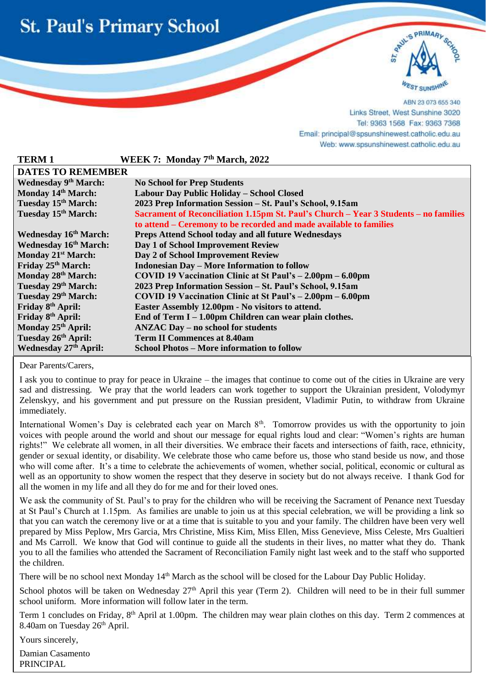



ABN 23 073 655 340 Links Street, West Sunshine 3020 Tel: 9363 1568 Fax: 9363 7368 Email: principal@spsunshinewest.catholic.edu.au Web: www.spsunshinewest.catholic.edu.au

| <b>TERM1</b>                      | WEEK 7: Monday 7th March, 2022                                                       |
|-----------------------------------|--------------------------------------------------------------------------------------|
| <b>DATES TO REMEMBER</b>          |                                                                                      |
| <b>Wednesday 9th March:</b>       | <b>No School for Prep Students</b>                                                   |
| Monday 14th March:                | Labour Day Public Holiday – School Closed                                            |
| Tuesday 15 <sup>th</sup> March:   | 2023 Prep Information Session - St. Paul's School, 9.15am                            |
| Tuesday 15 <sup>th</sup> March:   | Sacrament of Reconciliation 1.15pm St. Paul's Church – Year 3 Students – no families |
|                                   | to attend – Ceremony to be recorded and made available to families                   |
| <b>Wednesday 16th March:</b>      | Preps Attend School today and all future Wednesdays                                  |
| <b>Wednesday 16th March:</b>      | Day 1 of School Improvement Review                                                   |
| Monday 21 <sup>st</sup> March:    | Day 2 of School Improvement Review                                                   |
| Friday 25th March:                | <b>Indonesian Day – More Information to follow</b>                                   |
| Monday 28th March:                | COVID 19 Vaccination Clinic at St Paul's $-2.00 \text{pm} - 6.00 \text{pm}$          |
| Tuesday 29th March:               | 2023 Prep Information Session - St. Paul's School, 9.15am                            |
| Tuesday 29th March:               | COVID 19 Vaccination Clinic at St Paul's $- 2.00 \text{pm} - 6.00 \text{pm}$         |
| Friday 8 <sup>th</sup> April:     | Easter Assembly 12.00pm - No visitors to attend.                                     |
| Friday 8th April:                 | End of Term $I - 1.00$ pm Children can wear plain clothes.                           |
| Monday 25 <sup>th</sup> April:    | <b>ANZAC Day – no school for students</b>                                            |
| Tuesday 26 <sup>th</sup> April:   | <b>Term II Commences at 8.40am</b>                                                   |
| Wednesday 27 <sup>th</sup> April: | <b>School Photos – More information to follow</b>                                    |

Dear Parents/Carers,

l

I ask you to continue to pray for peace in Ukraine – the images that continue to come out of the cities in Ukraine are very sad and distressing. We pray that the world leaders can work together to support the Ukrainian president, [Volodymyr](https://www.google.com/search?safe=active&rlz=1C1GCEU_enAU971AU971&q=Volodymyr+Zelenskyy&stick=H4sIAAAAAAAAAONgVuLSz9U3KDfJMqoyfMRoyi3w8sc9YSmdSWtOXmNU4-IKzsgvd80rySypFJLgYoOy-KR4uJC08SxiFQ7Lz8lPqcytLFKISs1JzSvOrqwEACOphVlcAAAA&sa=X&ved=2ahUKEwiwuebPsbD2AhXz73MBHQD4AeQQzIcDKAB6BAghEAE)  [Zelenskyy,](https://www.google.com/search?safe=active&rlz=1C1GCEU_enAU971AU971&q=Volodymyr+Zelenskyy&stick=H4sIAAAAAAAAAONgVuLSz9U3KDfJMqoyfMRoyi3w8sc9YSmdSWtOXmNU4-IKzsgvd80rySypFJLgYoOy-KR4uJC08SxiFQ7Lz8lPqcytLFKISs1JzSvOrqwEACOphVlcAAAA&sa=X&ved=2ahUKEwiwuebPsbD2AhXz73MBHQD4AeQQzIcDKAB6BAghEAE) and his government and put pressure on the Russian president, Vladimir Putin, to withdraw from Ukraine immediately.

International Women's Day is celebrated each year on March 8<sup>th</sup>. Tomorrow provides us with the opportunity to join voices with people around the world and shout our message for equal rights loud and clear: "Women's rights are human rights!" We celebrate all women, in all their diversities. We embrace their facets and intersections of faith, race, ethnicity, gender or sexual identity, or disability. We celebrate those who came before us, those who stand beside us now, and those who will come after. It's a time to celebrate the achievements of women, whether social, political, economic or cultural as well as an opportunity to show women the respect that they deserve in society but do not always receive. I thank God for all the women in my life and all they do for me and for their loved ones.

We ask the community of St. Paul's to pray for the children who will be receiving the Sacrament of Penance next Tuesday at St Paul's Church at 1.15pm. As families are unable to join us at this special celebration, we will be providing a link so that you can watch the ceremony live or at a time that is suitable to you and your family. The children have been very well prepared by Miss Peplow, Mrs Garcia, Mrs Christine, Miss Kim, Miss Ellen, Miss Genevieve, Miss Celeste, Mrs Gualtieri and Ms Carroll. We know that God will continue to guide all the students in their lives, no matter what they do. Thank you to all the families who attended the Sacrament of Reconciliation Family night last week and to the staff who supported the children.

There will be no school next Monday 14<sup>th</sup> March as the school will be closed for the Labour Day Public Holiday.

School photos will be taken on Wednesday 27<sup>th</sup> April this year (Term 2). Children will need to be in their full summer school uniform. More information will follow later in the term.

Term 1 concludes on Friday, 8<sup>th</sup> April at 1.00pm. The children may wear plain clothes on this day. Term 2 commences at 8.40am on Tuesday 26<sup>th</sup> April.

Yours sincerely,

Damian Casamento PRINCIPAL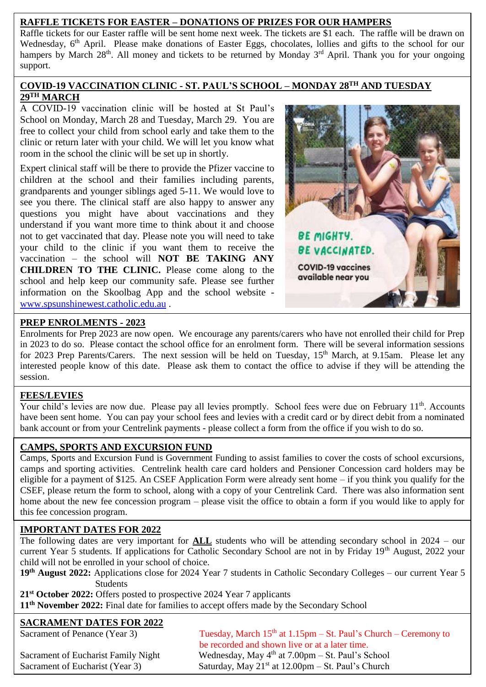#### **RAFFLE TICKETS FOR EASTER – DONATIONS OF PRIZES FOR OUR HAMPERS**

Raffle tickets for our Easter raffle will be sent home next week. The tickets are \$1 each. The raffle will be drawn on Wednesday, 6<sup>th</sup> April. Please make donations of Easter Eggs, chocolates, lollies and gifts to the school for our hampers by March 28<sup>th</sup>. All money and tickets to be returned by Monday 3<sup>rd</sup> April. Thank you for your ongoing support.

#### **COVID-19 VACCINATION CLINIC - ST. PAUL'S SCHOOL – MONDAY 28TH AND TUESDAY 29TH MARCH**

A COVID-19 vaccination clinic will be hosted at St Paul's School on Monday, March 28 and Tuesday, March 29. You are free to collect your child from school early and take them to the clinic or return later with your child. We will let you know what room in the school the clinic will be set up in shortly.

Expert clinical staff will be there to provide the Pfizer vaccine to children at the school and their families including parents, grandparents and younger siblings aged 5-11. We would love to see you there. The clinical staff are also happy to answer any questions you might have about vaccinations and they understand if you want more time to think about it and choose not to get vaccinated that day. Please note you will need to take your child to the clinic if you want them to receive the vaccination – the school will **NOT BE TAKING ANY CHILDREN TO THE CLINIC.** Please come along to the school and help keep our community safe. Please see further information on the Skoolbag App and the school website [www.spsunshinewest.catholic.edu.au](http://www.spsunshinewest.catholic.edu.au/) .



#### **PREP ENROLMENTS - 2023**

Enrolments for Prep 2023 are now open. We encourage any parents/carers who have not enrolled their child for Prep in 2023 to do so. Please contact the school office for an enrolment form. There will be several information sessions for 2023 Prep Parents/Carers. The next session will be held on Tuesday, 15<sup>th</sup> March, at 9.15am. Please let any interested people know of this date. Please ask them to contact the office to advise if they will be attending the session.

# **FEES/LEVIES**

have been sent home. Tou can pay your school lees and levies with a credit card of by diffect debit from a bank account or from your Centrelink payments - please collect a form from the office if you wish to do so. Your child's levies are now due. Please pay all levies promptly. School fees were due on February 11<sup>th</sup>. Accounts have been sent home. You can pay your school fees and levies with a credit card or by direct debit from a nominated

# **CAMPS, SPORTS AND EXCURSION FUND**

Camps, Sports and Excursion Fund is Government Funding to assist families to cover the costs of school excursions, camps and sporting activities. Centrelink health care card holders and Pensioner Concession card holders may be eligible for a payment of \$125. An CSEF Application Form were already sent home – if you think you qualify for the CSEF, please return the form to school, along with a copy of your Centrelink Card. There was also information sent home about the new fee concession program – please visit the office to obtain a form if you would like to apply for this fee concession program.

# **IMPORTANT DATES FOR 2022**

The following dates are very important for **ALL** students who will be attending secondary school in 2024 – our current Year 5 students. If applications for Catholic Secondary School are not in by Friday 19<sup>th</sup> August, 2022 your child will not be enrolled in your school of choice.

**19th August 2022:** Applications close for 2024 Year 7 students in Catholic Secondary Colleges – our current Year 5 Students

**21st October 2022:** Offers posted to prospective 2024 Year 7 applicants

**11th November 2022:** Final date for families to accept offers made by the Secondary School

# **SACRAMENT DATES FOR 2022**<br>Sacrament of Penance (Year 3)

Tuesday, March  $15<sup>th</sup>$  at  $1.15pm - St.$  Paul's Church – Ceremony to be recorded and shown live or at a later time. Sacrament of Eucharist Family Night Wednesday, May 4<sup>th</sup> at 7.00pm – St. Paul's School Sacrament of Eucharist (Year 3) Saturday, May  $21<sup>st</sup>$  at  $12.00 \text{pm} - \text{St}$ . Paul's Church